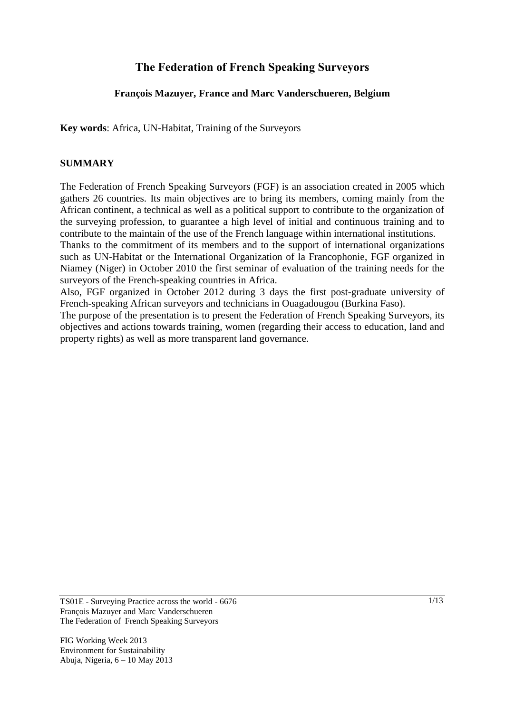## **The Federation of French Speaking Surveyors**

### **François Mazuyer, France and Marc Vanderschueren, Belgium**

**Key words**: Africa, UN-Habitat, Training of the Surveyors

#### **SUMMARY**

The Federation of French Speaking Surveyors (FGF) is an association created in 2005 which gathers 26 countries. Its main objectives are to bring its members, coming mainly from the African continent, a technical as well as a political support to contribute to the organization of the surveying profession, to guarantee a high level of initial and continuous training and to contribute to the maintain of the use of the French language within international institutions.

Thanks to the commitment of its members and to the support of international organizations such as UN-Habitat or the International Organization of la Francophonie, FGF organized in Niamey (Niger) in October 2010 the first seminar of evaluation of the training needs for the surveyors of the French-speaking countries in Africa.

Also, FGF organized in October 2012 during 3 days the first post-graduate university of French-speaking African surveyors and technicians in Ouagadougou (Burkina Faso).

The purpose of the presentation is to present the Federation of French Speaking Surveyors, its objectives and actions towards training, women (regarding their access to education, land and property rights) as well as more transparent land governance.

TS01E - Surveying Practice across the world - 6676 François Mazuyer and Marc Vanderschueren The Federation of French Speaking Surveyors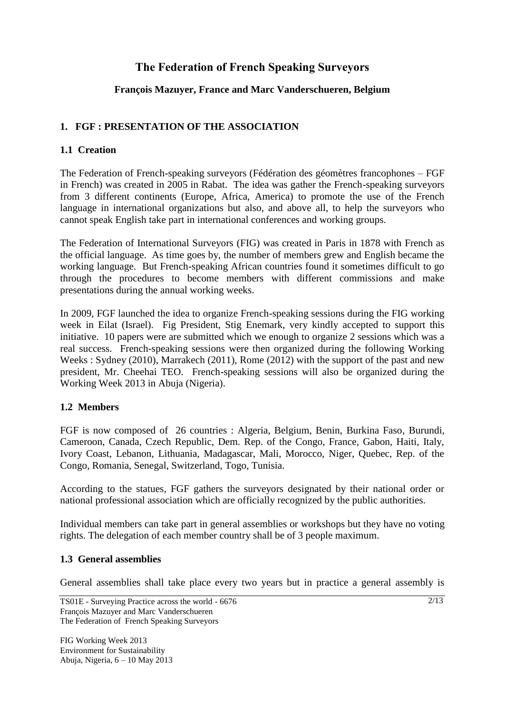# **The Federation of French Speaking Surveyors**

### **François Mazuyer, France and Marc Vanderschueren, Belgium**

### **1. FGF : PRESENTATION OF THE ASSOCIATION**

### **1.1 Creation**

The Federation of French-speaking surveyors (Fédération des géomètres francophones – FGF in French) was created in 2005 in Rabat. The idea was gather the French-speaking surveyors from 3 different continents (Europe, Africa, America) to promote the use of the French language in international organizations but also, and above all, to help the surveyors who cannot speak English take part in international conferences and working groups.

The Federation of International Surveyors (FIG) was created in Paris in 1878 with French as the official language. As time goes by, the number of members grew and English became the working language. But French-speaking African countries found it sometimes difficult to go through the procedures to become members with different commissions and make presentations during the annual working weeks.

In 2009, FGF launched the idea to organize French-speaking sessions during the FIG working week in Eilat (Israel). Fig President, Stig Enemark, very kindly accepted to support this initiative. 10 papers were are submitted which we enough to organize 2 sessions which was a real success. French-speaking sessions were then organized during the following Working Weeks : Sydney (2010), Marrakech (2011), Rome (2012) with the support of the past and new president, Mr. Cheehai TEO. French-speaking sessions will also be organized during the Working Week 2013 in Abuja (Nigeria).

### **1.2 Members**

FGF is now composed of 26 countries : Algeria, Belgium, Benin, Burkina Faso, Burundi, Cameroon, Canada, Czech Republic, Dem. Rep. of the Congo, France, Gabon, Haiti, Italy, Ivory Coast, Lebanon, Lithuania, Madagascar, Mali, Morocco, Niger, Quebec, Rep. of the Congo, Romania, Senegal, Switzerland, Togo, Tunisia.

According to the statues, FGF gathers the surveyors designated by their national order or national professional association which are officially recognized by the public authorities.

Individual members can take part in general assemblies or workshops but they have no voting rights. The delegation of each member country shall be of 3 people maximum.

### **1.3 General assemblies**

General assemblies shall take place every two years but in practice a general assembly is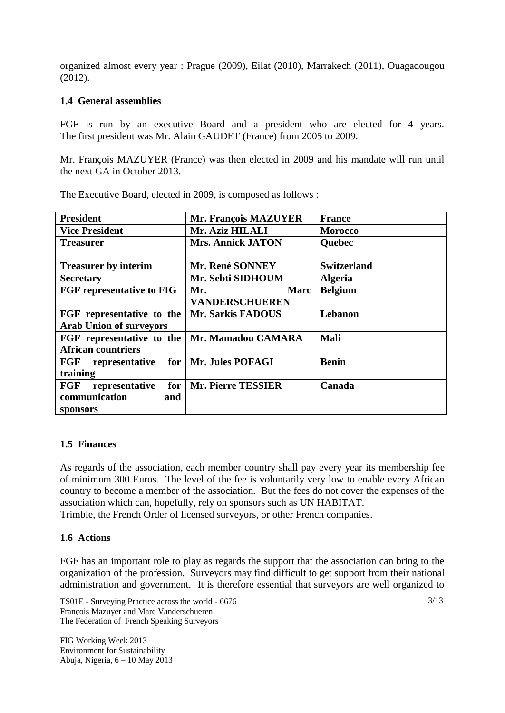organized almost every year : Prague (2009), Eilat (2010), Marrakech (2011), Ouagadougou (2012).

### **1.4 General assemblies**

FGF is run by an executive Board and a president who are elected for 4 years. The first president was Mr. Alain GAUDET (France) from 2005 to 2009.

Mr. François MAZUYER (France) was then elected in 2009 and his mandate will run until the next GA in October 2013.

| <b>President</b>                                   | <b>Mr. François MAZUYER</b> | <b>France</b>      |
|----------------------------------------------------|-----------------------------|--------------------|
| <b>Vice President</b>                              | Mr. Aziz HILALI             | <b>Morocco</b>     |
| <b>Treasurer</b>                                   | <b>Mrs. Annick JATON</b>    | Quebec             |
|                                                    |                             |                    |
| <b>Treasurer by interim</b>                        | Mr. René SONNEY             | <b>Switzerland</b> |
| <b>Secretary</b>                                   | Mr. Sebti SIDHOUM           | <b>Algeria</b>     |
| <b>FGF</b> representative to FIG                   | Mr.<br><b>Marc</b>          | <b>Belgium</b>     |
|                                                    | <b>VANDERSCHUEREN</b>       |                    |
| FGF representative to the                          | <b>Mr. Sarkis FADOUS</b>    | Lebanon            |
| <b>Arab Union of surveyors</b>                     |                             |                    |
| FGF representative to the                          | Mr. Mamadou CAMARA          | Mali               |
| <b>African countriers</b>                          |                             |                    |
| representative for   Mr. Jules POFAGI<br>$\bf FGF$ |                             | <b>Benin</b>       |
| training                                           |                             |                    |
| FGF<br>representative                              | for   Mr. Pierre TESSIER    | Canada             |
| communication<br>and                               |                             |                    |
| sponsors                                           |                             |                    |

The Executive Board, elected in 2009, is composed as follows :

### **1.5 Finances**

As regards of the association, each member country shall pay every year its membership fee of minimum 300 Euros. The level of the fee is voluntarily very low to enable every African country to become a member of the association. But the fees do not cover the expenses of the association which can, hopefully, rely on sponsors such as UN HABITAT.

Trimble, the French Order of licensed surveyors, or other French companies.

### **1.6 Actions**

FGF has an important role to play as regards the support that the association can bring to the organization of the profession. Surveyors may find difficult to get support from their national administration and government. It is therefore essential that surveyors are well organized to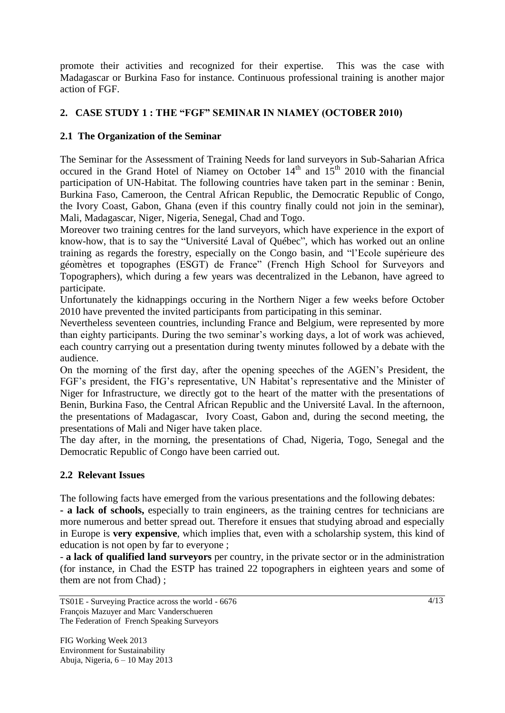promote their activities and recognized for their expertise. This was the case with Madagascar or Burkina Faso for instance. Continuous professional training is another major action of FGF.

### **2. CASE STUDY 1 : THE "FGF" SEMINAR IN NIAMEY (OCTOBER 2010)**

### **2.1 The Organization of the Seminar**

The Seminar for the Assessment of Training Needs for land surveyors in Sub-Saharian Africa occured in the Grand Hotel of Niamey on October  $14<sup>th</sup>$  and  $15<sup>th</sup>$  2010 with the financial participation of UN-Habitat. The following countries have taken part in the seminar : Benin, Burkina Faso, Cameroon, the Central African Republic, the Democratic Republic of Congo, the Ivory Coast, Gabon, Ghana (even if this country finally could not join in the seminar), Mali, Madagascar, Niger, Nigeria, Senegal, Chad and Togo.

Moreover two training centres for the land surveyors, which have experience in the export of know-how, that is to say the "Université Laval of Québec", which has worked out an online training as regards the forestry, especially on the Congo basin, and "l'Ecole supérieure des géomètres et topographes (ESGT) de France" (French High School for Surveyors and Topographers), which during a few years was decentralized in the Lebanon, have agreed to participate.

Unfortunately the kidnappings occuring in the Northern Niger a few weeks before October 2010 have prevented the invited participants from participating in this seminar.

Nevertheless seventeen countries, inclunding France and Belgium, were represented by more than eighty participants. During the two seminar's working days, a lot of work was achieved, each country carrying out a presentation during twenty minutes followed by a debate with the audience.

On the morning of the first day, after the opening speeches of the AGEN's President, the FGF's president, the FIG's representative, UN Habitat's representative and the Minister of Niger for Infrastructure, we directly got to the heart of the matter with the presentations of Benin, Burkina Faso, the Central African Republic and the Université Laval. In the afternoon, the presentations of Madagascar, Ivory Coast, Gabon and, during the second meeting, the presentations of Mali and Niger have taken place.

The day after, in the morning, the presentations of Chad, Nigeria, Togo, Senegal and the Democratic Republic of Congo have been carried out.

### **2.2 Relevant Issues**

The following facts have emerged from the various presentations and the following debates:

**- a lack of schools,** especially to train engineers, as the training centres for technicians are more numerous and better spread out. Therefore it ensues that studying abroad and especially in Europe is **very expensive**, which implies that, even with a scholarship system, this kind of education is not open by far to everyone ;

- **a lack of qualified land surveyors** per country, in the private sector or in the administration (for instance, in Chad the ESTP has trained 22 topographers in eighteen years and some of them are not from Chad) ;

TS01E - Surveying Practice across the world - 6676 François Mazuyer and Marc Vanderschueren The Federation of French Speaking Surveyors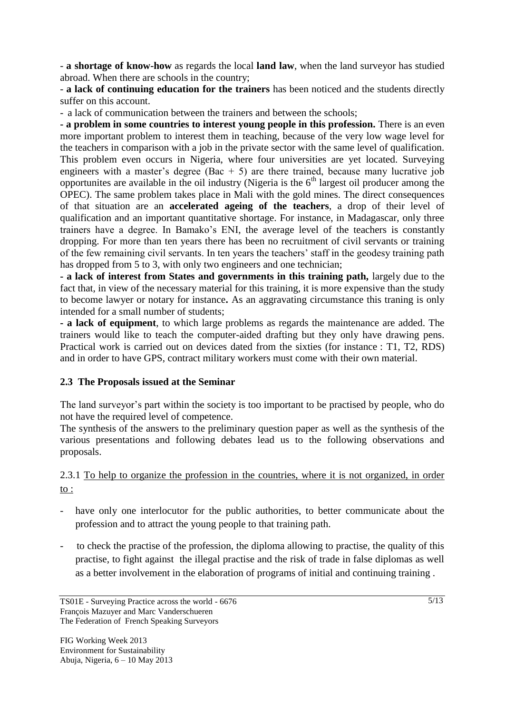- **a shortage of know-how** as regards the local **land law**, when the land surveyor has studied abroad. When there are schools in the country;

- **a lack of continuing education for the trainers** has been noticed and the students directly suffer on this account.

- a lack of communication between the trainers and between the schools;

**- a problem in some countries to interest young people in this profession.** There is an even more important problem to interest them in teaching, because of the very low wage level for the teachers in comparison with a job in the private sector with the same level of qualification. This problem even occurs in Nigeria, where four universities are yet located. Surveying engineers with a master's degree (Bac  $+5$ ) are there trained, because many lucrative job opportunites are available in the oil industry (Nigeria is the  $6<sup>th</sup>$  largest oil producer among the OPEC). The same problem takes place in Mali with the gold mines. The direct consequences of that situation are an **accelerated ageing of the teachers**, a drop of their level of qualification and an important quantitative shortage. For instance, in Madagascar, only three trainers have a degree. In Bamako's ENI, the average level of the teachers is constantly dropping. For more than ten years there has been no recruitment of civil servants or training of the few remaining civil servants. In ten years the teachers' staff in the geodesy training path has dropped from 5 to 3, with only two engineers and one technician;

**- a lack of interest from States and governments in this training path,** largely due to the fact that, in view of the necessary material for this training, it is more expensive than the study to become lawyer or notary for instance**.** As an aggravating circumstance this traning is only intended for a small number of students;

**- a lack of equipment**, to which large problems as regards the maintenance are added. The trainers would like to teach the computer-aided drafting but they only have drawing pens. Practical work is carried out on devices dated from the sixties (for instance : T1, T2, RDS) and in order to have GPS, contract military workers must come with their own material.

### **2.3 The Proposals issued at the Seminar**

The land surveyor's part within the society is too important to be practised by people, who do not have the required level of competence.

The synthesis of the answers to the preliminary question paper as well as the synthesis of the various presentations and following debates lead us to the following observations and proposals.

### 2.3.1 To help to organize the profession in the countries, where it is not organized, in order to :

- have only one interlocutor for the public authorities, to better communicate about the profession and to attract the young people to that training path.
- to check the practise of the profession, the diploma allowing to practise, the quality of this practise, to fight against the illegal practise and the risk of trade in false diplomas as well as a better involvement in the elaboration of programs of initial and continuing training .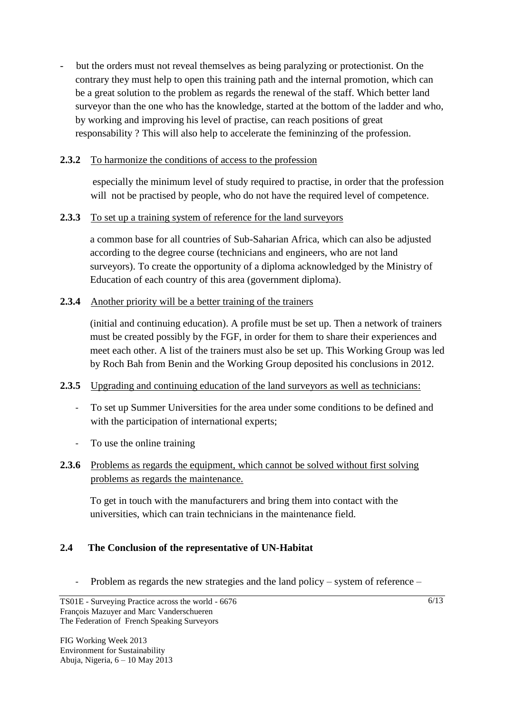but the orders must not reveal themselves as being paralyzing or protectionist. On the contrary they must help to open this training path and the internal promotion, which can be a great solution to the problem as regards the renewal of the staff. Which better land surveyor than the one who has the knowledge, started at the bottom of the ladder and who, by working and improving his level of practise, can reach positions of great responsability ? This will also help to accelerate the femininzing of the profession.

### **2.3.2** To harmonize the conditions of access to the profession

especially the minimum level of study required to practise, in order that the profession will not be practised by people, who do not have the required level of competence.

### **2.3.3** To set up a training system of reference for the land surveyors

a common base for all countries of Sub-Saharian Africa, which can also be adjusted according to the degree course (technicians and engineers, who are not land surveyors). To create the opportunity of a diploma acknowledged by the Ministry of Education of each country of this area (government diploma).

### **2.3.4** Another priority will be a better training of the trainers

(initial and continuing education). A profile must be set up. Then a network of trainers must be created possibly by the FGF, in order for them to share their experiences and meet each other. A list of the trainers must also be set up. This Working Group was led by Roch Bah from Benin and the Working Group deposited his conclusions in 2012.

### **2.3.5** Upgrading and continuing education of the land surveyors as well as technicians:

- To set up Summer Universities for the area under some conditions to be defined and with the participation of international experts;
- To use the online training
- **2.3.6** Problems as regards the equipment, which cannot be solved without first solving problems as regards the maintenance.

To get in touch with the manufacturers and bring them into contact with the universities, which can train technicians in the maintenance field.

### **2.4 The Conclusion of the representative of UN-Habitat**

- Problem as regards the new strategies and the land policy – system of reference –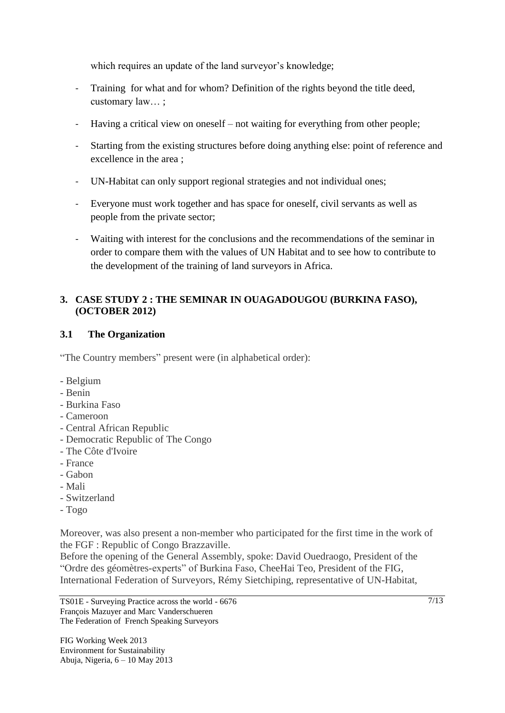which requires an update of the land surveyor's knowledge;

- Training for what and for whom? Definition of the rights beyond the title deed, customary law… ;
- Having a critical view on oneself not waiting for everything from other people;
- Starting from the existing structures before doing anything else: point of reference and excellence in the area ;
- UN-Habitat can only support regional strategies and not individual ones;
- Everyone must work together and has space for oneself, civil servants as well as people from the private sector;
- Waiting with interest for the conclusions and the recommendations of the seminar in order to compare them with the values of UN Habitat and to see how to contribute to the development of the training of land surveyors in Africa.

### **3. CASE STUDY 2 : THE SEMINAR IN OUAGADOUGOU (BURKINA FASO), (OCTOBER 2012)**

### **3.1 The Organization**

"The Country members" present were (in alphabetical order):

- Belgium
- Benin
- Burkina Faso
- Cameroon
- Central African Republic
- Democratic Republic of The Congo
- The Côte d'Ivoire
- France
- Gabon
- Mali
- Switzerland
- Togo

Moreover, was also present a non-member who participated for the first time in the work of the FGF : Republic of Congo Brazzaville.

Before the opening of the General Assembly, spoke: David Ouedraogo, President of the "Ordre des géomètres-experts" of Burkina Faso, CheeHai Teo, President of the FIG, International Federation of Surveyors, Rémy Sietchiping, representative of UN-Habitat,

TS01E - Surveying Practice across the world - 6676 François Mazuyer and Marc Vanderschueren The Federation of French Speaking Surveyors

FIG Working Week 2013 Environment for Sustainability Abuja, Nigeria, 6 – 10 May 2013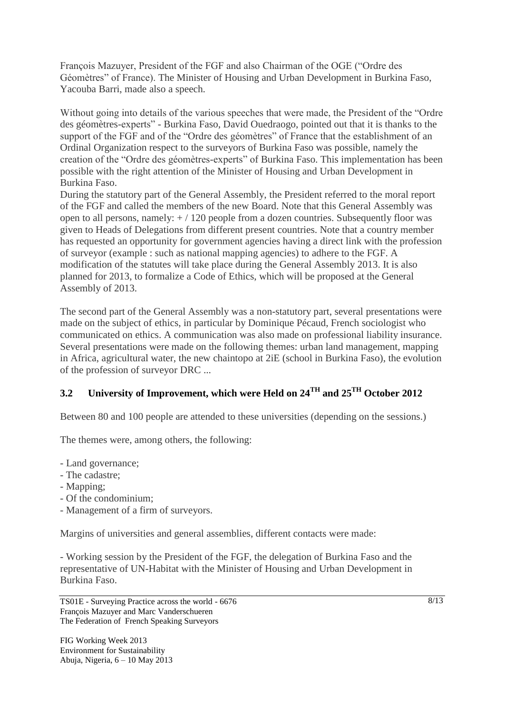François Mazuyer, President of the FGF and also Chairman of the OGE ("Ordre des Géomètres" of France). The Minister of Housing and Urban Development in Burkina Faso, Yacouba Barri, made also a speech.

Without going into details of the various speeches that were made, the President of the "Ordre des géomètres-experts" - Burkina Faso, David Ouedraogo, pointed out that it is thanks to the support of the FGF and of the "Ordre des géomètres" of France that the establishment of an Ordinal Organization respect to the surveyors of Burkina Faso was possible, namely the creation of the "Ordre des géomètres-experts" of Burkina Faso. This implementation has been possible with the right attention of the Minister of Housing and Urban Development in Burkina Faso.

During the statutory part of the General Assembly, the President referred to the moral report of the FGF and called the members of the new Board. Note that this General Assembly was open to all persons, namely:  $+ / 120$  people from a dozen countries. Subsequently floor was given to Heads of Delegations from different present countries. Note that a country member has requested an opportunity for government agencies having a direct link with the profession of surveyor (example : such as national mapping agencies) to adhere to the FGF. A modification of the statutes will take place during the General Assembly 2013. It is also planned for 2013, to formalize a Code of Ethics, which will be proposed at the General Assembly of 2013.

The second part of the General Assembly was a non-statutory part, several presentations were made on the subject of ethics, in particular by Dominique Pécaud, French sociologist who communicated on ethics. A communication was also made on professional liability insurance. Several presentations were made on the following themes: urban land management, mapping in Africa, agricultural water, the new chaintopo at 2iE (school in Burkina Faso), the evolution of the profession of surveyor DRC ...

# **3.2 University of Improvement, which were Held on 24TH and 25TH October 2012**

Between 80 and 100 people are attended to these universities (depending on the sessions.)

The themes were, among others, the following:

- Land governance;

- The cadastre;
- Mapping;
- Of the condominium;
- Management of a firm of surveyors.

Margins of universities and general assemblies, different contacts were made:

- Working session by the President of the FGF, the delegation of Burkina Faso and the representative of UN-Habitat with the Minister of Housing and Urban Development in Burkina Faso.

TS01E - Surveying Practice across the world - 6676 François Mazuyer and Marc Vanderschueren The Federation of French Speaking Surveyors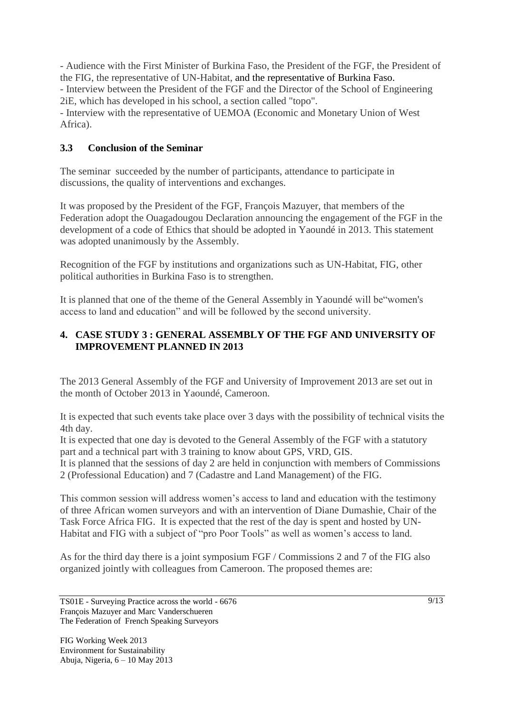- Audience with the First Minister of Burkina Faso, the President of the FGF, the President of the FIG, the representative of UN-Habitat, and the representative of Burkina Faso. - Interview between the President of the FGF and the Director of the School of Engineering 2iE, which has developed in his school, a section called "topo".

- Interview with the representative of UEMOA (Economic and Monetary Union of West Africa).

### **3.3 Conclusion of the Seminar**

The seminar succeeded by the number of participants, attendance to participate in discussions, the quality of interventions and exchanges.

It was proposed by the President of the FGF, François Mazuyer, that members of the Federation adopt the Ouagadougou Declaration announcing the engagement of the FGF in the development of a code of Ethics that should be adopted in Yaoundé in 2013. This statement was adopted unanimously by the Assembly.

Recognition of the FGF by institutions and organizations such as UN-Habitat, FIG, other political authorities in Burkina Faso is to strengthen.

It is planned that one of the theme of the General Assembly in Yaoundé will be"women's access to land and education" and will be followed by the second university.

### **4. CASE STUDY 3 : GENERAL ASSEMBLY OF THE FGF AND UNIVERSITY OF IMPROVEMENT PLANNED IN 2013**

The 2013 General Assembly of the FGF and University of Improvement 2013 are set out in the month of October 2013 in Yaoundé, Cameroon.

It is expected that such events take place over 3 days with the possibility of technical visits the 4th day.

It is expected that one day is devoted to the General Assembly of the FGF with a statutory part and a technical part with 3 training to know about GPS, VRD, GIS.

It is planned that the sessions of day 2 are held in conjunction with members of Commissions 2 (Professional Education) and 7 (Cadastre and Land Management) of the FIG.

This common session will address women's access to land and education with the testimony of three African women surveyors and with an intervention of Diane Dumashie, Chair of the Task Force Africa FIG. It is expected that the rest of the day is spent and hosted by UN-Habitat and FIG with a subject of "pro Poor Tools" as well as women's access to land.

As for the third day there is a joint symposium FGF / Commissions 2 and 7 of the FIG also organized jointly with colleagues from Cameroon. The proposed themes are:

TS01E - Surveying Practice across the world - 6676 François Mazuyer and Marc Vanderschueren The Federation of French Speaking Surveyors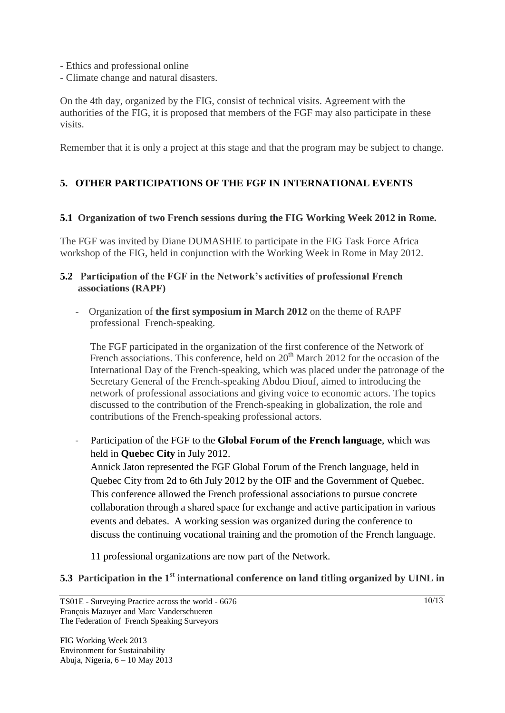- Ethics and professional online
- Climate change and natural disasters.

On the 4th day, organized by the FIG, consist of technical visits. Agreement with the authorities of the FIG, it is proposed that members of the FGF may also participate in these visits.

Remember that it is only a project at this stage and that the program may be subject to change.

### **5. OTHER PARTICIPATIONS OF THE FGF IN INTERNATIONAL EVENTS**

#### **5.1 Organization of two French sessions during the FIG Working Week 2012 in Rome.**

The FGF was invited by Diane DUMASHIE to participate in the FIG Task Force Africa workshop of the FIG, held in conjunction with the Working Week in Rome in May 2012.

### **5.2 Participation of the FGF in the Network's activities of professional French associations (RAPF)**

- Organization of **the first symposium in March 2012** on the theme of RAPF professional French-speaking.

The FGF participated in the organization of the first conference of the Network of French associations. This conference, held on  $20<sup>th</sup>$  March 2012 for the occasion of the International Day of the French-speaking, which was placed under the patronage of the Secretary General of the French-speaking Abdou Diouf, aimed to introducing the network of professional associations and giving voice to economic actors. The topics discussed to the contribution of the French-speaking in globalization, the role and contributions of the French-speaking professional actors.

- Participation of the FGF to the **Global Forum of the French language**, which was held in **Quebec City** in July 2012.

Annick Jaton represented the FGF Global Forum of the French language, held in Quebec City from 2d to 6th July 2012 by the OIF and the Government of Quebec. This conference allowed the French professional associations to pursue concrete collaboration through a shared space for exchange and active participation in various events and debates. A working session was organized during the conference to discuss the continuing vocational training and the promotion of the French language.

11 professional organizations are now part of the Network.

#### **5.3 Participation in the 1st international conference on land titling organized by UINL in**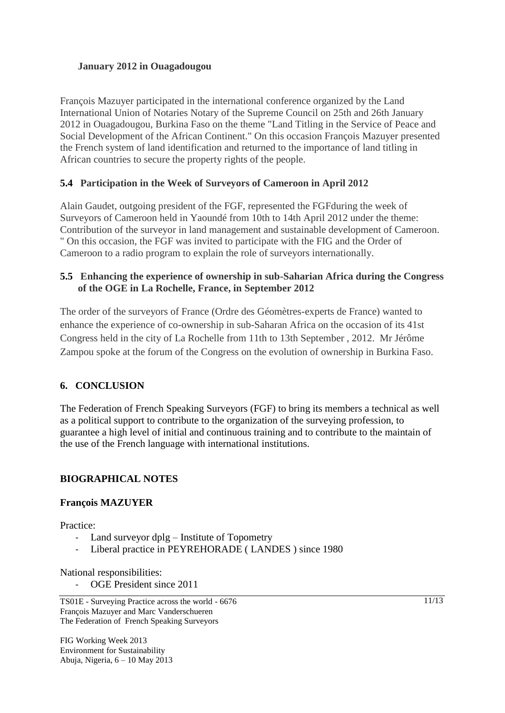### **January 2012 in Ouagadougou**

François Mazuyer participated in the international conference organized by the Land International Union of Notaries Notary of the Supreme Council on 25th and 26th January 2012 in Ouagadougou, Burkina Faso on the theme "Land Titling in the Service of Peace and Social Development of the African Continent." On this occasion François Mazuyer presented the French system of land identification and returned to the importance of land titling in African countries to secure the property rights of the people.

### **5.4 Participation in the Week of Surveyors of Cameroon in April 2012**

Alain Gaudet, outgoing president of the FGF, represented the FGFduring the week of Surveyors of Cameroon held in Yaoundé from 10th to 14th April 2012 under the theme: Contribution of the surveyor in land management and sustainable development of Cameroon. " On this occasion, the FGF was invited to participate with the FIG and the Order of Cameroon to a radio program to explain the role of surveyors internationally.

#### **5.5 Enhancing the experience of ownership in sub-Saharian Africa during the Congress of the OGE in La Rochelle, France, in September 2012**

The order of the surveyors of France (Ordre des Géomètres-experts de France) wanted to enhance the experience of co-ownership in sub-Saharan Africa on the occasion of its 41st Congress held in the city of La Rochelle from 11th to 13th September , 2012. Mr Jérôme Zampou spoke at the forum of the Congress on the evolution of ownership in Burkina Faso.

### **6. CONCLUSION**

The Federation of French Speaking Surveyors (FGF) to bring its members a technical as well as a political support to contribute to the organization of the surveying profession, to guarantee a high level of initial and continuous training and to contribute to the maintain of the use of the French language with international institutions.

### **BIOGRAPHICAL NOTES**

#### **François MAZUYER**

Practice:

- Land surveyor dplg Institute of Topometry
- Liberal practice in PEYREHORADE (LANDES) since 1980

National responsibilities:

OGE President since 2011

FIG Working Week 2013 Environment for Sustainability Abuja, Nigeria, 6 – 10 May 2013 11/13

TS01E - Surveying Practice across the world - 6676 François Mazuyer and Marc Vanderschueren The Federation of French Speaking Surveyors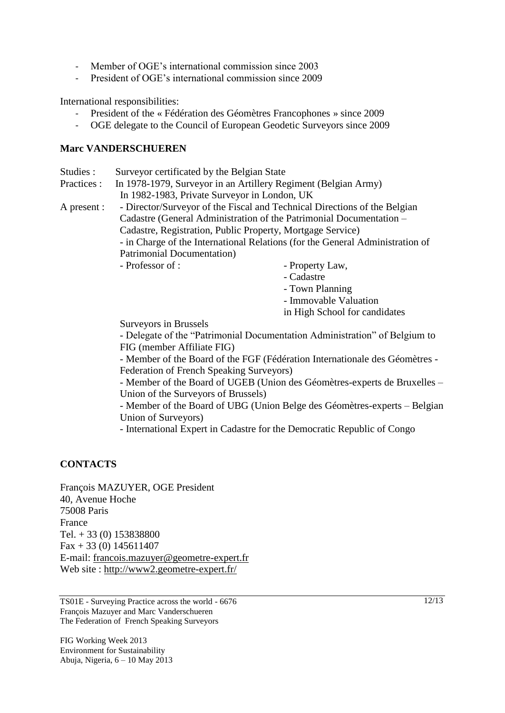- Member of OGE's international commission since 2003
- President of OGE's international commission since 2009

International responsibilities:

- President of the « Fédération des Géomètres Francophones » since 2009
- OGE delegate to the Council of European Geodetic Surveyors since 2009

#### **Marc VANDERSCHUEREN**

- Studies : Surveyor certificated by the Belgian State
- Practices : In 1978-1979, Surveyor in an Artillery Regiment (Belgian Army) In 1982-1983, Private Surveyor in London, UK
- A present : Director/Surveyor of the Fiscal and Technical Directions of the Belgian Cadastre (General Administration of the Patrimonial Documentation – Cadastre, Registration, Public Property, Mortgage Service) - in Charge of the International Relations (for the General Administration of Patrimonial Documentation)

- Professor of :  $\blacksquare$ 

- 
- Cadastre
- Town Planning
- Immovable Valuation

in High School for candidates

Surveyors in Brussels

- Delegate of the "Patrimonial Documentation Administration" of Belgium to FIG (member Affiliate FIG)

- Member of the Board of the FGF (Fédération Internationale des Géomètres - Federation of French Speaking Surveyors)

- Member of the Board of UGEB (Union des Géomètres-experts de Bruxelles – Union of the Surveyors of Brussels)

- Member of the Board of UBG (Union Belge des Géomètres-experts – Belgian Union of Surveyors)

- International Expert in Cadastre for the Democratic Republic of Congo

#### **CONTACTS**

François MAZUYER, OGE President 40, Avenue Hoche 75008 Paris France Tel. + 33 (0) 153838800  $Fax + 33 (0) 145611407$ E-mail: francois.mazuyer@geometre-expert.fr Web site : http://www2.geometre-expert.fr/

TS01E - Surveying Practice across the world - 6676 François Mazuyer and Marc Vanderschueren The Federation of French Speaking Surveyors

FIG Working Week 2013 Environment for Sustainability Abuja, Nigeria, 6 – 10 May 2013